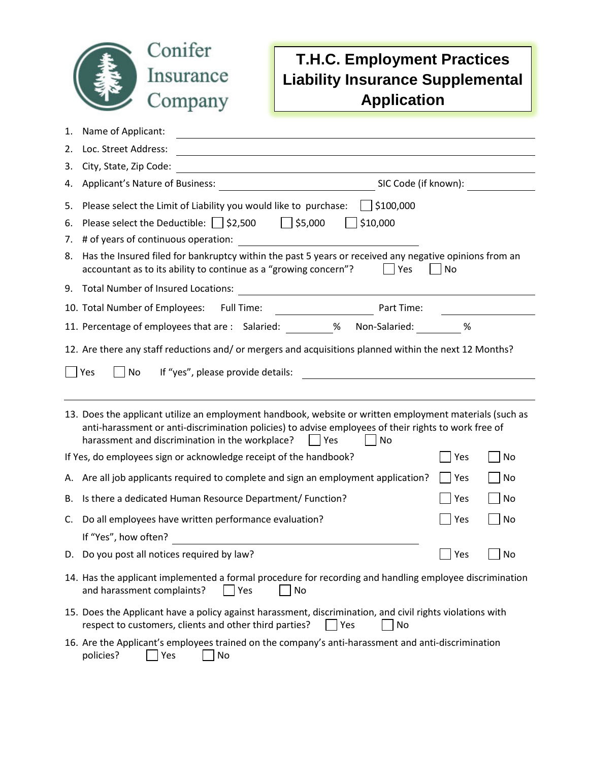

## **T.H.C. Employment Practices Liability Insurance Supplemental Application**

| 1.                                                                                                                                                                                                                                                                                | Name of Applicant:                                                                                                                                                                            |            |                |  |  |  |  |
|-----------------------------------------------------------------------------------------------------------------------------------------------------------------------------------------------------------------------------------------------------------------------------------|-----------------------------------------------------------------------------------------------------------------------------------------------------------------------------------------------|------------|----------------|--|--|--|--|
| 2.                                                                                                                                                                                                                                                                                | Loc. Street Address:<br><u> 1980 - Johann Barn, fransk politik fotograf (d. 1980)</u>                                                                                                         |            |                |  |  |  |  |
| 3.                                                                                                                                                                                                                                                                                | City, State, Zip Code:<br><u> 1980 - Johann Barn, mars ann an t-Amhain Aonaich an t-Aonaich an t-Aonaich ann an t-Aonaich ann an t-Aonaich</u>                                                |            |                |  |  |  |  |
| 4.                                                                                                                                                                                                                                                                                | SIC Code (if known):                                                                                                                                                                          |            |                |  |  |  |  |
| 5.                                                                                                                                                                                                                                                                                | \$100,000<br>Please select the Limit of Liability you would like to purchase:                                                                                                                 |            |                |  |  |  |  |
| 6.                                                                                                                                                                                                                                                                                | Please select the Deductible: $\Box$ \$2,500<br>\$5,000<br>\$10,000                                                                                                                           |            |                |  |  |  |  |
| 7.                                                                                                                                                                                                                                                                                | # of years of continuous operation:                                                                                                                                                           |            |                |  |  |  |  |
| 8.                                                                                                                                                                                                                                                                                | Has the Insured filed for bankruptcy within the past 5 years or received any negative opinions from an<br>accountant as to its ability to continue as a "growing concern"?<br>$ $   Yes<br>No |            |                |  |  |  |  |
| 9.                                                                                                                                                                                                                                                                                | <b>Total Number of Insured Locations:</b><br><u> 1980 - Johann Stoff, deutscher Stoffen und der Stoffen und der Stoffen und der Stoffen und der Stoffen und der</u>                           |            |                |  |  |  |  |
|                                                                                                                                                                                                                                                                                   | 10. Total Number of Employees:<br>Full Time:<br>Part Time:                                                                                                                                    |            |                |  |  |  |  |
|                                                                                                                                                                                                                                                                                   | 11. Percentage of employees that are : Salaried: __________% Non-Salaried:                                                                                                                    | %          |                |  |  |  |  |
| 12. Are there any staff reductions and/ or mergers and acquisitions planned within the next 12 Months?<br>If "yes", please provide details:<br>Yes<br>No                                                                                                                          |                                                                                                                                                                                               |            |                |  |  |  |  |
| 13. Does the applicant utilize an employment handbook, website or written employment materials (such as<br>anti-harassment or anti-discrimination policies) to advise employees of their rights to work free of<br>harassment and discrimination in the workplace?<br>  Yes<br>No |                                                                                                                                                                                               |            |                |  |  |  |  |
|                                                                                                                                                                                                                                                                                   | If Yes, do employees sign or acknowledge receipt of the handbook?                                                                                                                             | Yes        | No             |  |  |  |  |
|                                                                                                                                                                                                                                                                                   | A. Are all job applicants required to complete and sign an employment application?                                                                                                            | $ $ Yes    | No             |  |  |  |  |
| В.                                                                                                                                                                                                                                                                                | Is there a dedicated Human Resource Department/ Function?                                                                                                                                     | Yes        | No             |  |  |  |  |
| C.                                                                                                                                                                                                                                                                                | Do all employees have written performance evaluation?                                                                                                                                         | Yes        | No             |  |  |  |  |
|                                                                                                                                                                                                                                                                                   | If "Yes", how often?                                                                                                                                                                          |            |                |  |  |  |  |
|                                                                                                                                                                                                                                                                                   | D. Do you post all notices required by law?                                                                                                                                                   | $\Box$ Yes | $\bigsqcup$ No |  |  |  |  |
|                                                                                                                                                                                                                                                                                   | 14. Has the applicant implemented a formal procedure for recording and handling employee discrimination<br>and harassment complaints?<br>Yes<br>No                                            |            |                |  |  |  |  |
|                                                                                                                                                                                                                                                                                   | 15. Does the Applicant have a policy against harassment, discrimination, and civil rights violations with<br>respect to customers, clients and other third parties?<br>No<br> Yes             |            |                |  |  |  |  |
|                                                                                                                                                                                                                                                                                   | 16. Are the Applicant's employees trained on the company's anti-harassment and anti-discrimination<br>policies?<br>Yes<br>No                                                                  |            |                |  |  |  |  |